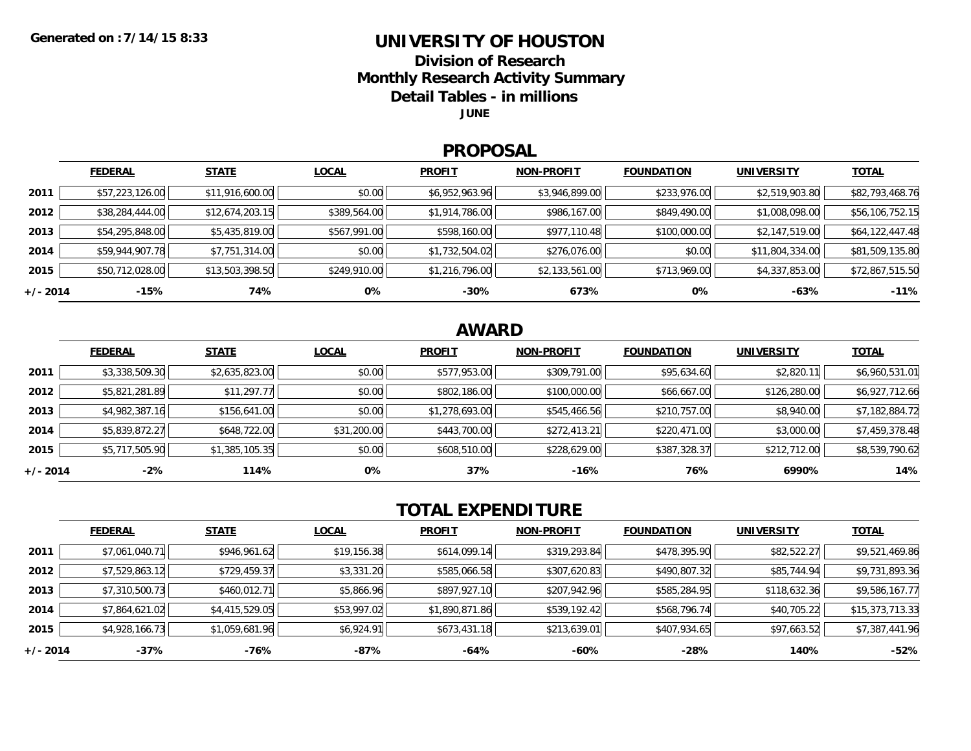### **UNIVERSITY OF HOUSTON**

**Division of Research**

**Monthly Research Activity Summary**

**Detail Tables - in millions**

**JUNE**

#### **PROPOSAL**

|            | <b>FEDERAL</b>  | <b>STATE</b>    | <b>LOCAL</b> | <b>PROFIT</b>  | <b>NON-PROFIT</b> | <b>FOUNDATION</b> | UNIVERSITY      | <b>TOTAL</b>    |
|------------|-----------------|-----------------|--------------|----------------|-------------------|-------------------|-----------------|-----------------|
| 2011       | \$57,223,126.00 | \$11,916,600.00 | \$0.00       | \$6,952,963.96 | \$3,946,899.00    | \$233,976.00      | \$2,519,903.80  | \$82,793,468.76 |
| 2012       | \$38,284,444.00 | \$12,674,203.15 | \$389,564.00 | \$1,914,786.00 | \$986,167.00      | \$849,490.00      | \$1,008,098.00  | \$56,106,752.15 |
| 2013       | \$54,295,848.00 | \$5,435,819.00  | \$567,991.00 | \$598,160.00   | \$977,110.48      | \$100,000.00      | \$2,147,519.00  | \$64,122,447.48 |
| 2014       | \$59,944,907.78 | \$7,751,314.00  | \$0.00       | \$1,732,504.02 | \$276,076.00      | \$0.00            | \$11,804,334.00 | \$81,509,135.80 |
| 2015       | \$50,712,028.00 | \$13,503,398.50 | \$249,910.00 | \$1,216,796.00 | \$2,133,561.00    | \$713,969.00      | \$4,337,853.00  | \$72,867,515.50 |
| $+/- 2014$ | -15%            | 74%             | 0%           | $-30%$         | 673%              | 0%                | -63%            | $-11%$          |

## **AWARD**

|            | <b>FEDERAL</b> | <b>STATE</b>   | <b>LOCAL</b> | <b>PROFIT</b>  | <b>NON-PROFIT</b> | <b>FOUNDATION</b> | <b>UNIVERSITY</b> | <b>TOTAL</b>   |
|------------|----------------|----------------|--------------|----------------|-------------------|-------------------|-------------------|----------------|
| 2011       | \$3,338,509.30 | \$2,635,823.00 | \$0.00       | \$577,953.00   | \$309,791.00      | \$95,634.60       | \$2,820.1         | \$6,960,531.01 |
| 2012       | \$5,821,281.89 | \$11,297.77    | \$0.00       | \$802,186.00   | \$100,000.00      | \$66,667.00       | \$126,280.00      | \$6,927,712.66 |
| 2013       | \$4,982,387.16 | \$156,641.00   | \$0.00       | \$1,278,693.00 | \$545,466.56      | \$210,757.00      | \$8,940.00        | \$7,182,884.72 |
| 2014       | \$5,839,872.27 | \$648,722.00   | \$31,200.00  | \$443,700.00   | \$272,413.21      | \$220,471.00      | \$3,000.00        | \$7,459,378.48 |
| 2015       | \$5,717,505.90 | \$1,385,105.35 | \$0.00       | \$608,510.00   | \$228,629.00      | \$387,328.37      | \$212,712.00      | \$8,539,790.62 |
| $+/- 2014$ | -2%            | 114%           | 0%           | 37%            | $-16%$            | 76%               | 6990%             | 14%            |

# **TOTAL EXPENDITURE**

|          | <b>FEDERAL</b> | <b>STATE</b>   | <b>LOCAL</b> | <b>PROFIT</b>  | <b>NON-PROFIT</b> | <b>FOUNDATION</b> | <b>UNIVERSITY</b> | <b>TOTAL</b>    |
|----------|----------------|----------------|--------------|----------------|-------------------|-------------------|-------------------|-----------------|
| 2011     | \$7,061,040.71 | \$946,961.62   | \$19,156.38  | \$614,099.14   | \$319,293.84      | \$478,395.90      | \$82,522.27       | \$9,521,469.86  |
| 2012     | \$7,529,863.12 | \$729,459.37   | \$3,331.20   | \$585,066.58   | \$307,620.83      | \$490,807.32      | \$85,744.94       | \$9,731,893.36  |
| 2013     | \$7,310,500.73 | \$460,012.71   | \$5,866.96   | \$897,927.10   | \$207,942.96      | \$585,284.95      | \$118,632.36      | \$9,586,167.77  |
| 2014     | \$7,864,621.02 | \$4,415,529.05 | \$53,997.02  | \$1,890,871.86 | \$539,192.42      | \$568,796.74      | \$40,705.22       | \$15,373,713.33 |
| 2015     | \$4,928,166.73 | \$1,059,681.96 | \$6,924.91   | \$673,431.18   | \$213,639.01      | \$407,934.65      | \$97,663.52       | \$7,387,441.96  |
| +/- 2014 | -37%           | -76%           | -87%         | -64%           | $-60%$            | $-28%$            | 140%              | $-52%$          |